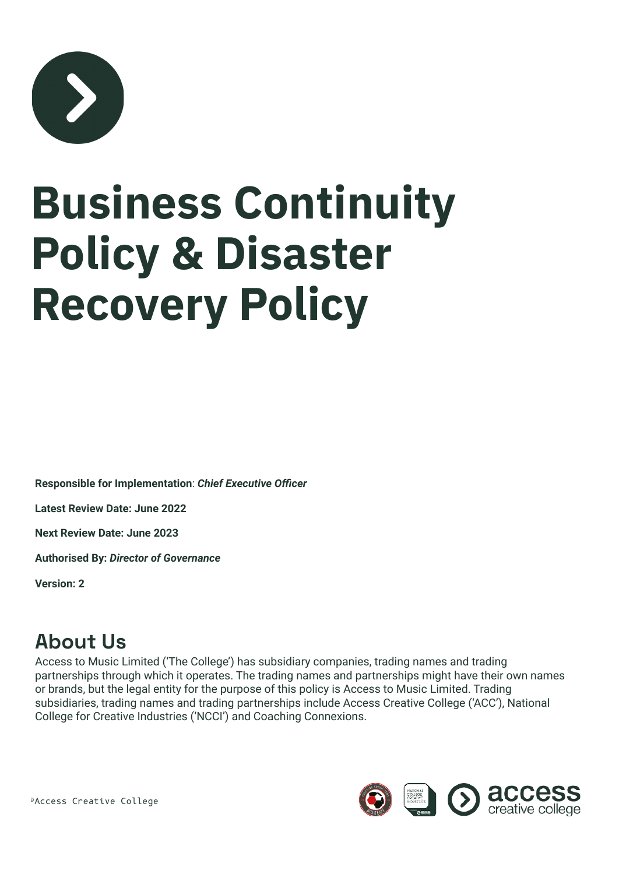

# **Business Continuity Policy & Disaster Recovery Policy**

**Responsible for Implementation**: *Chief Executive Officer*

**Latest Review Date: June 2022**

**Next Review Date: June 2023**

**Authorised By:** *Director of Governance*

**Version: 2**

### **About Us**

Access to Music Limited ('The College') has subsidiary companies, trading names and trading partnerships through which it operates. The trading names and partnerships might have their own names or brands, but the legal entity for the purpose of this policy is Access to Music Limited. Trading subsidiaries, trading names and trading partnerships include Access Creative College ('ACC'), National College for Creative Industries ('NCCI') and Coaching Connexions.

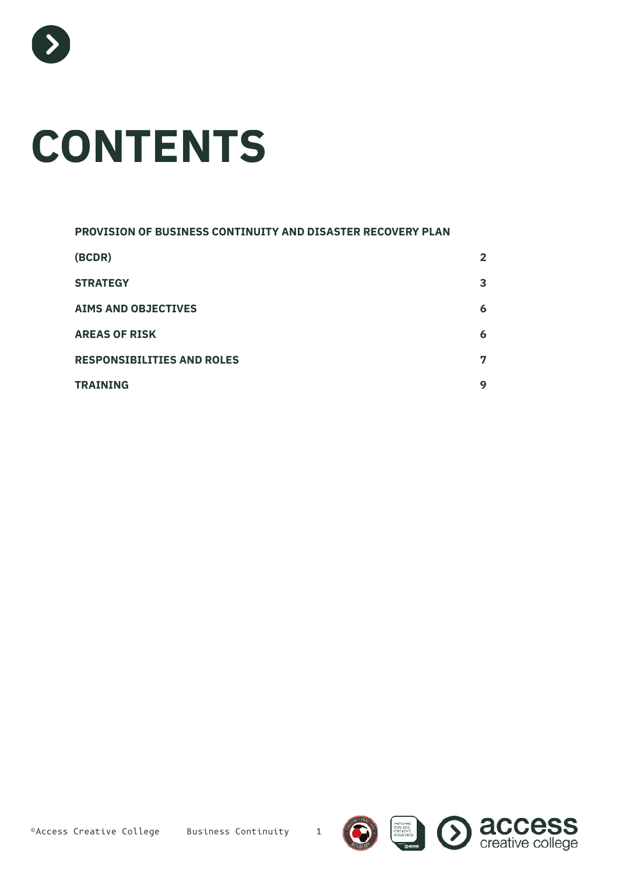

# **CONTENTS**

| PROVISION OF BUSINESS CONTINUITY AND DISASTER RECOVERY PLAN |              |
|-------------------------------------------------------------|--------------|
| (BCDR)                                                      | $\mathbf{2}$ |
| <b>STRATEGY</b>                                             | 3            |
| <b>AIMS AND OBJECTIVES</b>                                  | 6            |
| <b>AREAS OF RISK</b>                                        | 6            |
| <b>RESPONSIBILITIES AND ROLES</b>                           | 7            |
| <b>TRAINING</b>                                             | 9            |





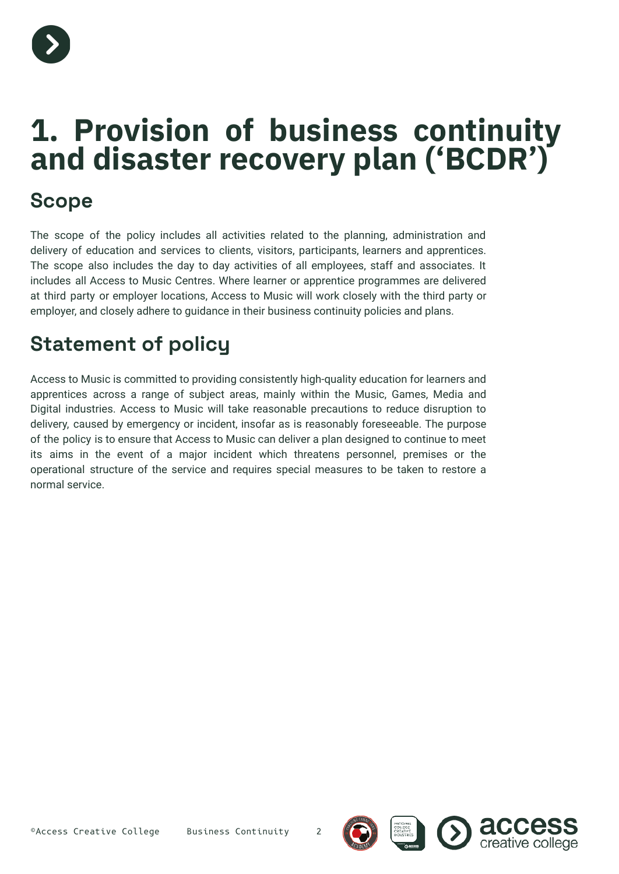

### **1. Provision of business continuity and disaster recovery plan ('BCDR')**

### **Scope**

The scope of the policy includes all activities related to the planning, administration and delivery of education and services to clients, visitors, participants, learners and apprentices. The scope also includes the day to day activities of all employees, staff and associates. It includes all Access to Music Centres. Where learner or apprentice programmes are delivered at third party or employer locations, Access to Music will work closely with the third party or employer, and closely adhere to guidance in their business continuity policies and plans.

### **Statement of policy**

Access to Music is committed to providing consistently high-quality education for learners and apprentices across a range of subject areas, mainly within the Music, Games, Media and Digital industries. Access to Music will take reasonable precautions to reduce disruption to delivery, caused by emergency or incident, insofar as is reasonably foreseeable. The purpose of the policy is to ensure that Access to Music can deliver a plan designed to continue to meet its aims in the event of a major incident which threatens personnel, premises or the operational structure of the service and requires special measures to be taken to restore a normal service.



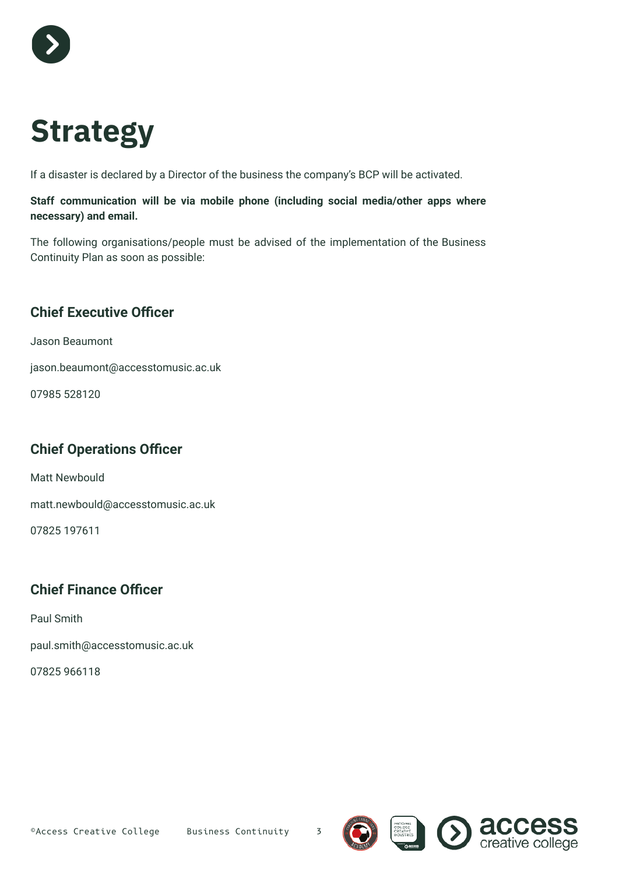

# **Strategy**

If a disaster is declared by a Director of the business the company's BCP will be activated.

#### **Staff communication will be via mobile phone (including social media/other apps where necessary) and email.**

The following organisations/people must be advised of the implementation of the Business Continuity Plan as soon as possible:

#### **Chief Executive Officer**

Jason Beaumont

jason.beaumont@accesstomusic.ac.uk

07985 528120

#### **Chief Operations Officer**

Matt Newbould

matt.newbould@accesstomusic.ac.uk

07825 197611

#### **Chief Finance Officer**

Paul Smith

paul.smith@accesstomusic.ac.uk

07825 966118





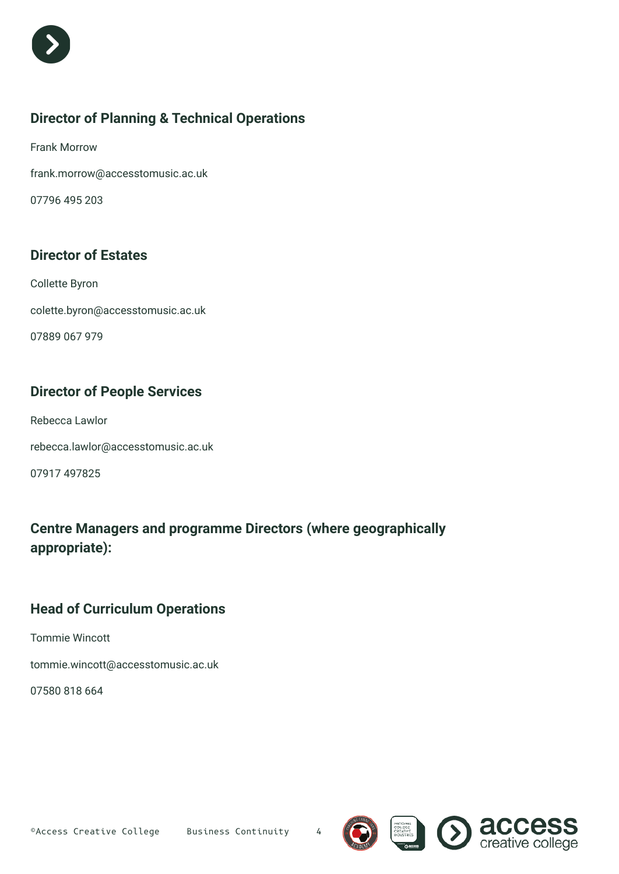

#### **Director of Planning & Technical Operations**

Frank Morrow frank.morrow@accesstomusic.ac.uk

07796 495 203

#### **Director of Estates**

Collette Byron colette.byron@accesstomusic.ac.uk 07889 067 979

#### **Director of People Services**

Rebecca Lawlor rebecca.lawlor@accesstomusic.ac.uk 07917 497825

**Centre Managers and programme Directors (where geographically appropriate):**

#### **Head of Curriculum Operations**

Tommie Wincott

tommie.wincott@accesstomusic.ac.uk

07580 818 664



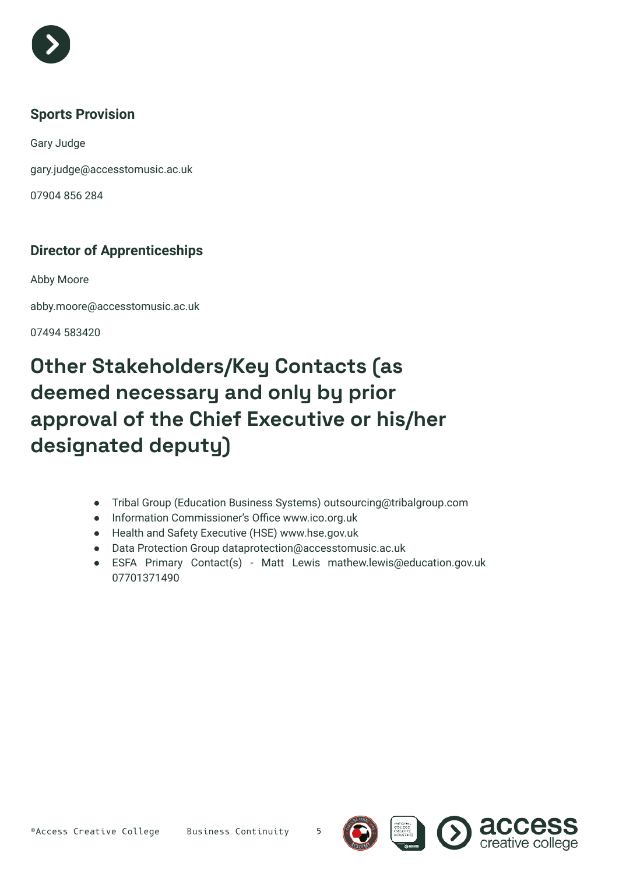

#### **Sports Provision**

Gary Judge

gary.judge@accesstomusic.ac.uk

07904 856 284

#### **Director of Apprenticeships**

Abby Moore

abby.moore@accesstomusic.ac.uk

07494 583420

### **Other Stakeholders/Key Contacts (as deemed necessary and only by prior approval of the Chief Executive or his/her designated deputy)**

- Tribal Group (Education Business Systems) outsourcing@tribalgroup.com
- Information Commissioner's Office www.ico.org.uk
- Health and Safety Executive (HSE) www.hse.gov.uk
- Data Protection Group dataprotection@accesstomusic.ac.uk
- ESFA Primary Contact(s) Matt Lewis mathew.lewis@education.gov.uk 07701371490







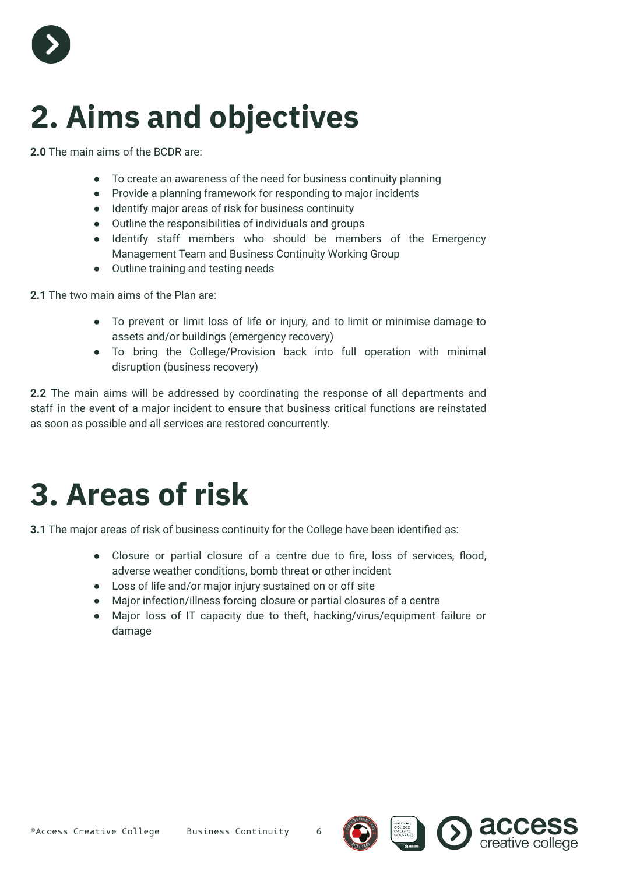

## **2. Aims and objectives**

**2.0** The main aims of the BCDR are:

- To create an awareness of the need for business continuity planning
- Provide a planning framework for responding to major incidents
- Identify major areas of risk for business continuity
- Outline the responsibilities of individuals and groups
- Identify staff members who should be members of the Emergency Management Team and Business Continuity Working Group
- Outline training and testing needs

**2.1** The two main aims of the Plan are:

- To prevent or limit loss of life or injury, and to limit or minimise damage to assets and/or buildings (emergency recovery)
- To bring the College/Provision back into full operation with minimal disruption (business recovery)

**2.2** The main aims will be addressed by coordinating the response of all departments and staff in the event of a major incident to ensure that business critical functions are reinstated as soon as possible and all services are restored concurrently.

### **3. Areas of risk**

**3.1** The major areas of risk of business continuity for the College have been identified as:

- Closure or partial closure of a centre due to fire, loss of services, flood, adverse weather conditions, bomb threat or other incident
- Loss of life and/or major injury sustained on or off site
- Major infection/illness forcing closure or partial closures of a centre
- Major loss of IT capacity due to theft, hacking/virus/equipment failure or damage





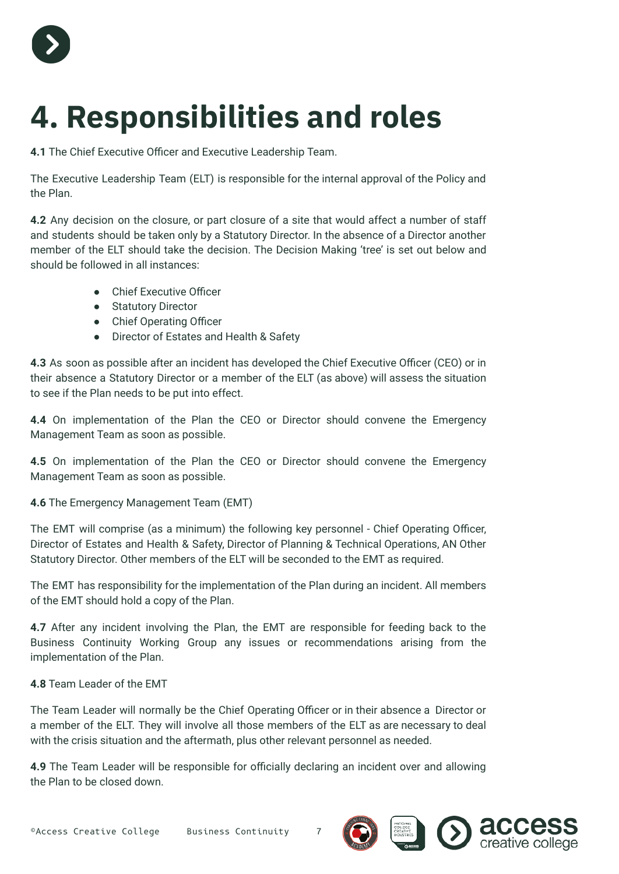

# **4. Responsibilities and roles**

**4.1** The Chief Executive Officer and Executive Leadership Team.

The Executive Leadership Team (ELT) is responsible for the internal approval of the Policy and the Plan.

**4.2** Any decision on the closure, or part closure of a site that would affect a number of staff and students should be taken only by a Statutory Director. In the absence of a Director another member of the ELT should take the decision. The Decision Making 'tree' is set out below and should be followed in all instances:

- Chief Executive Officer
- Statutory Director
- Chief Operating Officer
- Director of Estates and Health & Safety

**4.3** As soon as possible after an incident has developed the Chief Executive Officer (CEO) or in their absence a Statutory Director or a member of the ELT (as above) will assess the situation to see if the Plan needs to be put into effect.

**4.4** On implementation of the Plan the CEO or Director should convene the Emergency Management Team as soon as possible.

**4.5** On implementation of the Plan the CEO or Director should convene the Emergency Management Team as soon as possible.

**4.6** The Emergency Management Team (EMT)

The EMT will comprise (as a minimum) the following key personnel - Chief Operating Officer, Director of Estates and Health & Safety, Director of Planning & Technical Operations, AN Other Statutory Director. Other members of the ELT will be seconded to the EMT as required.

The EMT has responsibility for the implementation of the Plan during an incident. All members of the EMT should hold a copy of the Plan.

**4.7** After any incident involving the Plan, the EMT are responsible for feeding back to the Business Continuity Working Group any issues or recommendations arising from the implementation of the Plan.

**4.8** Team Leader of the EMT

The Team Leader will normally be the Chief Operating Officer or in their absence a Director or a member of the ELT. They will involve all those members of the ELT as are necessary to deal with the crisis situation and the aftermath, plus other relevant personnel as needed.

**4.9** The Team Leader will be responsible for officially declaring an incident over and allowing the Plan to be closed down.



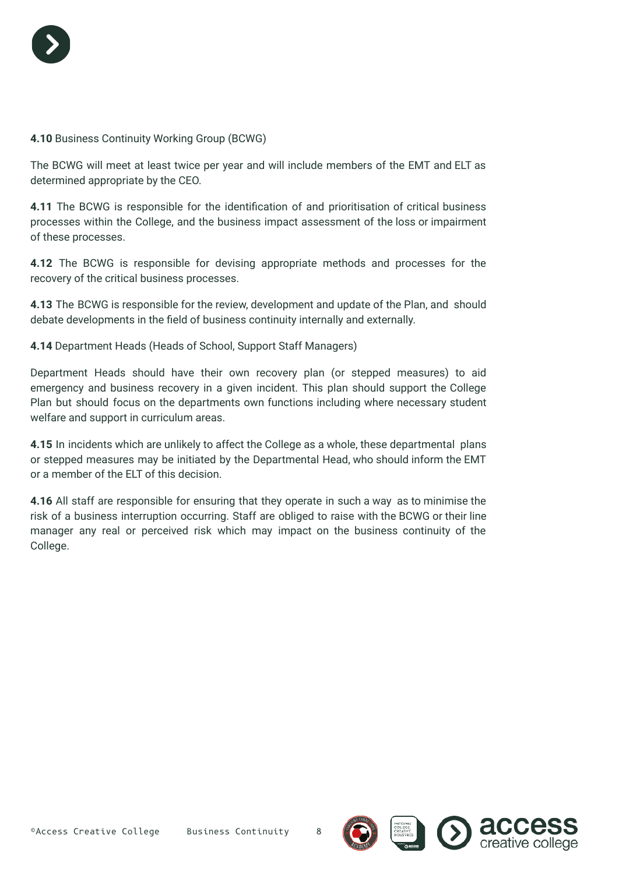

#### **4.10** Business Continuity Working Group (BCWG)

The BCWG will meet at least twice per year and will include members of the EMT and ELT as determined appropriate by the CEO.

**4.11** The BCWG is responsible for the identification of and prioritisation of critical business processes within the College, and the business impact assessment of the loss or impairment of these processes.

**4.12** The BCWG is responsible for devising appropriate methods and processes for the recovery of the critical business processes.

**4.13** The BCWG is responsible for the review, development and update of the Plan, and should debate developments in the field of business continuity internally and externally.

**4.14** Department Heads (Heads of School, Support Staff Managers)

Department Heads should have their own recovery plan (or stepped measures) to aid emergency and business recovery in a given incident. This plan should support the College Plan but should focus on the departments own functions including where necessary student welfare and support in curriculum areas.

**4.15** In incidents which are unlikely to affect the College as a whole, these departmental plans or stepped measures may be initiated by the Departmental Head, who should inform the EMT or a member of the ELT of this decision.

**4.16** All staff are responsible for ensuring that they operate in such a way as to minimise the risk of a business interruption occurring. Staff are obliged to raise with the BCWG or their line manager any real or perceived risk which may impact on the business continuity of the College.